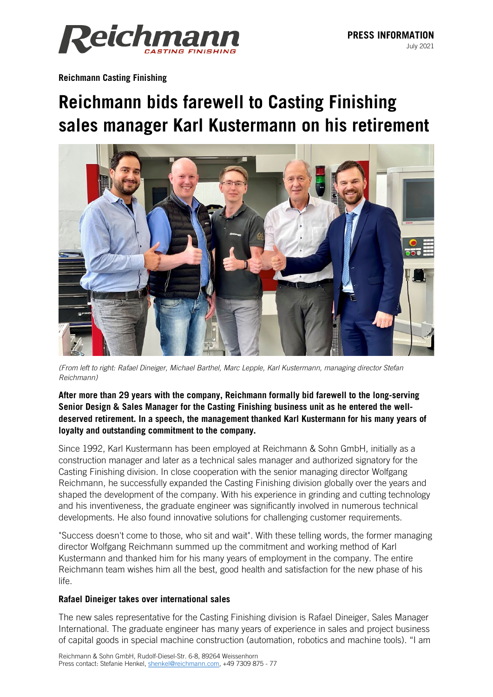July 2021



**Reichmann Casting Finishing**

## **Reichmann bids farewell to Casting Finishing sales manager Karl Kustermann on his retirement**



*(From left to right: Rafael Dineiger, Michael Barthel, Marc Lepple, Karl Kustermann, managing director Stefan Reichmann)*

## **After more than 29 years with the company, Reichmann formally bid farewell to the long-serving Senior Design & Sales Manager for the Casting Finishing business unit as he entered the welldeserved retirement. In a speech, the management thanked Karl Kustermann for his many years of loyalty and outstanding commitment to the company.**

Since 1992, Karl Kustermann has been employed at Reichmann & Sohn GmbH, initially as a construction manager and later as a technical sales manager and authorized signatory for the Casting Finishing division. In close cooperation with the senior managing director Wolfgang Reichmann, he successfully expanded the Casting Finishing division globally over the years and shaped the development of the company. With his experience in grinding and cutting technology and his inventiveness, the graduate engineer was significantly involved in numerous technical developments. He also found innovative solutions for challenging customer requirements.

"Success doesn't come to those, who sit and wait". With these telling words, the former managing director Wolfgang Reichmann summed up the commitment and working method of Karl Kustermann and thanked him for his many years of employment in the company. The entire Reichmann team wishes him all the best, good health and satisfaction for the new phase of his life.

## **Rafael Dineiger takes over international sales**

The new sales representative for the Casting Finishing division is Rafael Dineiger, Sales Manager International. The graduate engineer has many years of experience in sales and project business of capital goods in special machine construction (automation, robotics and machine tools). "I am